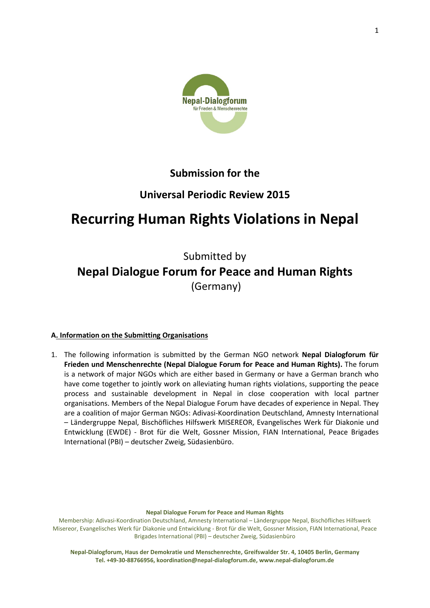

# **Submission for the**

# **Universal Periodic Review 2015**

# **Recurring Human Rights Violations in Nepal**

# Submitted by **Nepal Dialogue Forum for Peace and Human Rights** (Germany)

# **A. Information on the Submitting Organisations**

1. The following information is submitted by the German NGO network **Nepal Dialogforum für Frieden und Menschenrechte (Nepal Dialogue Forum for Peace and Human Rights).** The forum is a network of major NGOs which are either based in Germany or have a German branch who have come together to jointly work on alleviating human rights violations, supporting the peace process and sustainable development in Nepal in close cooperation with local partner organisations. Members of the Nepal Dialogue Forum have decades of experience in Nepal. They are a coalition of major German NGOs: Adivasi-Koordination Deutschland, Amnesty International – Ländergruppe Nepal, Bischöfliches Hilfswerk MISEREOR, Evangelisches Werk für Diakonie und Entwicklung (EWDE) - Brot für die Welt, Gossner Mission, FIAN International, Peace Brigades International (PBI) – deutscher Zweig, Südasienbüro.

**Nepal Dialogue Forum for Peace and Human Rights**

Membership: Adivasi-Koordination Deutschland, Amnesty International – Ländergruppe Nepal, Bischöfliches Hilfswerk Misereor, Evangelisches Werk für Diakonie und Entwicklung - Brot für die Welt, Gossner Mission, FIAN International, Peace Brigades International (PBI) – deutscher Zweig, Südasienbüro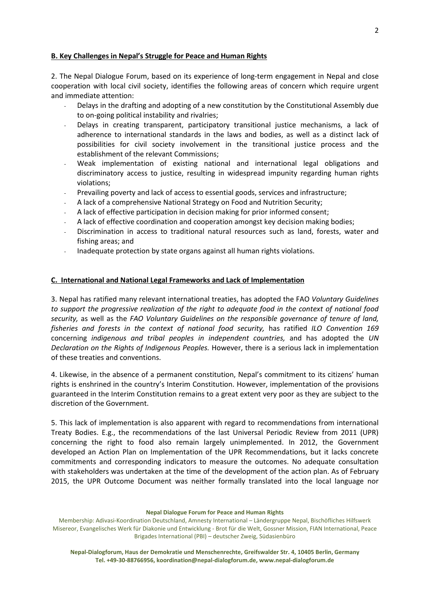# **B. Key Challenges in Nepal's Struggle for Peace and Human Rights**

2. The Nepal Dialogue Forum, based on its experience of long-term engagement in Nepal and close cooperation with local civil society, identifies the following areas of concern which require urgent and immediate attention:

- Delays in the drafting and adopting of a new constitution by the Constitutional Assembly due to on-going political instability and rivalries;
- Delays in creating transparent, participatory transitional justice mechanisms, a lack of adherence to international standards in the laws and bodies, as well as a distinct lack of possibilities for civil society involvement in the transitional justice process and the establishment of the relevant Commissions;
- Weak implementation of existing national and international legal obligations and discriminatory access to justice, resulting in widespread impunity regarding human rights violations;
- Prevailing poverty and lack of access to essential goods, services and infrastructure;
- A lack of a comprehensive National Strategy on Food and Nutrition Security;
- A lack of effective participation in decision making for prior informed consent;
- A lack of effective coordination and cooperation amongst key decision making bodies;
- Discrimination in access to traditional natural resources such as land, forests, water and fishing areas; and
- Inadequate protection by state organs against all human rights violations.

# **C. International and National Legal Frameworks and Lack of Implementation**

3. Nepal has ratified many relevant international treaties, has adopted the FAO *Voluntary Guidelines to support the progressive realization of the right to adequate food in the context of national food security,* as well as the *FAO Voluntary Guidelines on the responsible governance of tenure of land, fisheries and forests in the context of national food security,* has ratified *ILO Convention 169*  concerning *indigenous and tribal peoples in independent countries,* and has adopted the *UN Declaration on the Rights of Indigenous Peoples.* However, there is a serious lack in implementation of these treaties and conventions.

4. Likewise, in the absence of a permanent constitution, Nepal's commitment to its citizens' human rights is enshrined in the country's Interim Constitution. However, implementation of the provisions guaranteed in the Interim Constitution remains to a great extent very poor as they are subject to the discretion of the Government.

5. This lack of implementation is also apparent with regard to recommendations from international Treaty Bodies. E.g., the recommendations of the last Universal Periodic Review from 2011 (UPR) concerning the right to food also remain largely unimplemented. In 2012, the Government developed an Action Plan on Implementation of the UPR Recommendations, but it lacks concrete commitments and corresponding indicators to measure the outcomes. No adequate consultation with stakeholders was undertaken at the time of the development of the action plan. As of February 2015, the UPR Outcome Document was neither formally translated into the local language nor

**Nepal Dialogue Forum for Peace and Human Rights**

Membership: Adivasi-Koordination Deutschland, Amnesty International – Ländergruppe Nepal, Bischöfliches Hilfswerk Misereor, Evangelisches Werk für Diakonie und Entwicklung - Brot für die Welt, Gossner Mission, FIAN International, Peace Brigades International (PBI) – deutscher Zweig, Südasienbüro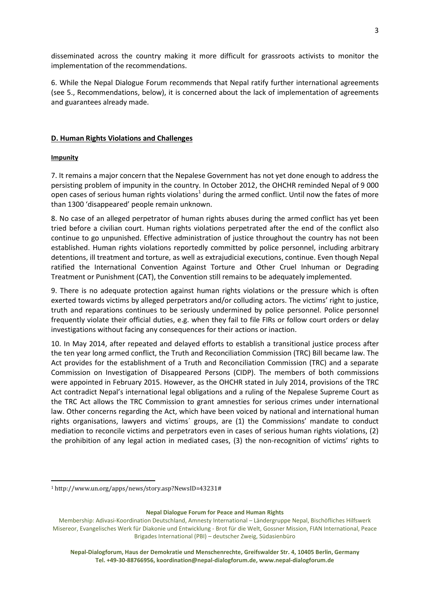disseminated across the country making it more difficult for grassroots activists to monitor the implementation of the recommendations.

6. While the Nepal Dialogue Forum recommends that Nepal ratify further international agreements (see 5., Recommendations, below), it is concerned about the lack of implementation of agreements and guarantees already made.

# **D. Human Rights Violations and Challenges**

# **Impunity**

**.** 

7. It remains a major concern that the Nepalese Government has not yet done enough to address the persisting problem of impunity in the country. In October 2012, the OHCHR reminded Nepal of 9 000 open cases of serious human rights violations<sup>1</sup> during the armed conflict. Until now the fates of more than 1300 'disappeared' people remain unknown.

8. No case of an alleged perpetrator of human rights abuses during the armed conflict has yet been tried before a civilian court. Human rights violations perpetrated after the end of the conflict also continue to go unpunished. Effective administration of justice throughout the country has not been established. Human rights violations reportedly committed by police personnel, including arbitrary detentions, ill treatment and torture, as well as extrajudicial executions, continue. Even though Nepal ratified the International Convention Against Torture and Other Cruel Inhuman or Degrading Treatment or Punishment (CAT), the Convention still remains to be adequately implemented.

9. There is no adequate protection against human rights violations or the pressure which is often exerted towards victims by alleged perpetrators and/or colluding actors. The victims' right to justice, truth and reparations continues to be seriously undermined by police personnel. Police personnel frequently violate their official duties, e.g. when they fail to file FIRs or follow court orders or delay investigations without facing any consequences for their actions or inaction.

10. In May 2014, after repeated and delayed efforts to establish a transitional justice process after the ten year long armed conflict, the Truth and Reconciliation Commission (TRC) Bill became law. The Act provides for the establishment of a Truth and Reconciliation Commission (TRC) and a separate Commission on Investigation of Disappeared Persons (CIDP). The members of both commissions were appointed in February 2015. However, as the OHCHR stated in July 2014, provisions of the TRC Act contradict Nepal's international legal obligations and a ruling of the Nepalese Supreme Court as the TRC Act allows the TRC Commission to grant amnesties for serious crimes under international law. Other concerns regarding the Act, which have been voiced by national and international human rights organisations, lawyers and victims´ groups, are (1) the Commissions' mandate to conduct mediation to reconcile victims and perpetrators even in cases of serious human rights violations, (2) the prohibition of any legal action in mediated cases, (3) the non-recognition of victims' rights to

<sup>1</sup> http://www.un.org/apps/news/story.asp?NewsID=43231#

Membership: Adivasi-Koordination Deutschland, Amnesty International – Ländergruppe Nepal, Bischöfliches Hilfswerk Misereor, Evangelisches Werk für Diakonie und Entwicklung - Brot für die Welt, Gossner Mission, FIAN International, Peace Brigades International (PBI) – deutscher Zweig, Südasienbüro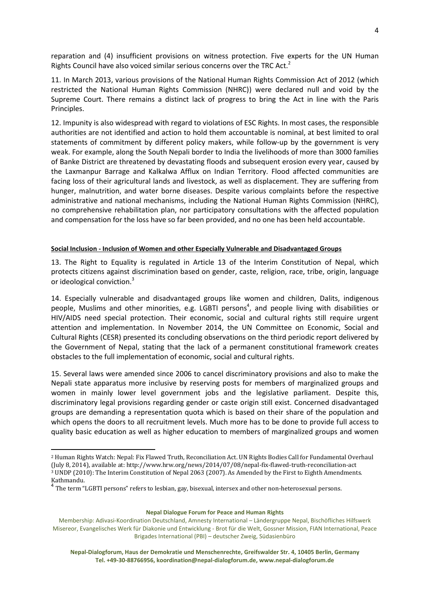reparation and (4) insufficient provisions on witness protection. Five experts for the UN Human Rights Council have also voiced similar serious concerns over the TRC Act.<sup>2</sup>

11. In March 2013, various provisions of the National Human Rights Commission Act of 2012 (which restricted the National Human Rights Commission (NHRC)) were declared null and void by the Supreme Court. There remains a distinct lack of progress to bring the Act in line with the Paris Principles.

12. Impunity is also widespread with regard to violations of ESC Rights. In most cases, the responsible authorities are not identified and action to hold them accountable is nominal, at best limited to oral statements of commitment by different policy makers, while follow-up by the government is very weak. For example, along the South Nepali border to India the livelihoods of more than 3000 families of Banke District are threatened by devastating floods and subsequent erosion every year, caused by the Laxmanpur Barrage and Kalkalwa Afflux on Indian Territory. Flood affected communities are facing loss of their agricultural lands and livestock, as well as displacement. They are suffering from hunger, malnutrition, and water borne diseases. Despite various complaints before the respective administrative and national mechanisms, including the National Human Rights Commission (NHRC), no comprehensive rehabilitation plan, nor participatory consultations with the affected population and compensation for the loss have so far been provided, and no one has been held accountable.

## **Social Inclusion - Inclusion of Women and other Especially Vulnerable and Disadvantaged Groups**

13. The Right to Equality is regulated in Article 13 of the Interim Constitution of Nepal, which protects citizens against discrimination based on gender, caste, religion, race, tribe, origin, language or ideological conviction.<sup>3</sup>

14. Especially vulnerable and disadvantaged groups like women and children, Dalits, indigenous people, Muslims and other minorities, e.g. LGBTI persons<sup>4</sup>, and people living with disabilities or HIV/AIDS need special protection. Their economic, social and cultural rights still require urgent attention and implementation. In November 2014, the UN Committee on Economic, Social and Cultural Rights (CESR) presented its concluding observations on the third periodic report delivered by the Government of Nepal, stating that the lack of a permanent constitutional framework creates obstacles to the full implementation of economic, social and cultural rights.

15. Several laws were amended since 2006 to cancel discriminatory provisions and also to make the Nepali state apparatus more inclusive by reserving posts for members of marginalized groups and women in mainly lower level government jobs and the legislative parliament. Despite this, discriminatory legal provisions regarding gender or caste origin still exist. Concerned disadvantaged groups are demanding a representation quota which is based on their share of the population and which opens the doors to all recruitment levels. Much more has to be done to provide full access to quality basic education as well as higher education to members of marginalized groups and women

1

<sup>2</sup> Human Rights Watch[: Nepal: Fix Flawed Truth, Reconciliation Act.](http://www.hrw.org/news/2014/07/08/nepal-fix-flawed-truth-reconciliation-act) UN Rights Bodies Call for Fundamental Overhaul (July 8, 2014), available at: http://www.hrw.org/news/2014/07/08/nepal-fix-flawed-truth-reconciliation-act  $3$  UNDP (2010): The Interim Constitution of Nepal 2063 (2007). As Amended by the First to Eighth Amendments. Kathmandu.

<sup>&</sup>lt;sup>4</sup> The term "LGBTI persons" refers to lesbian, gay, bisexual, intersex and other non-heterosexual persons.

Membership: Adivasi-Koordination Deutschland, Amnesty International – Ländergruppe Nepal, Bischöfliches Hilfswerk Misereor, Evangelisches Werk für Diakonie und Entwicklung - Brot für die Welt, Gossner Mission, FIAN International, Peace Brigades International (PBI) – deutscher Zweig, Südasienbüro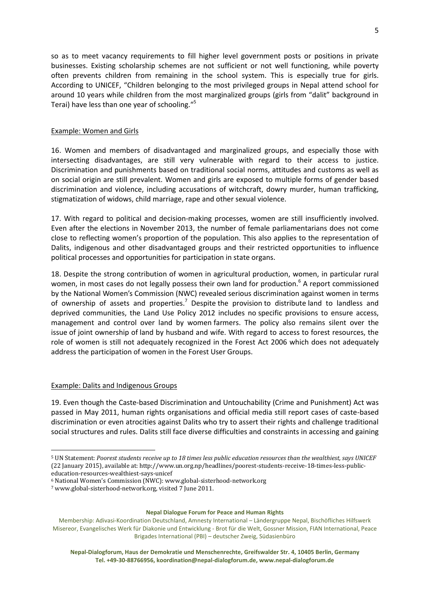so as to meet vacancy requirements to fill higher level government posts or positions in private businesses. Existing scholarship schemes are not sufficient or not well functioning, while poverty often prevents children from remaining in the school system. This is especially true for girls. According to UNICEF, "Children belonging to the most privileged groups in Nepal attend school for around 10 years while children from the most marginalized groups (girls from "dalit" background in Terai) have less than one year of schooling."<sup>5</sup>

# Example: Women and Girls

16. Women and members of disadvantaged and marginalized groups, and especially those with intersecting disadvantages, are still very vulnerable with regard to their access to justice. Discrimination and punishments based on traditional social norms, attitudes and customs as well as on social origin are still prevalent. Women and girls are exposed to multiple forms of gender based discrimination and violence, including accusations of witchcraft, dowry murder, human trafficking, stigmatization of widows, child marriage, rape and other sexual violence.

17. With regard to political and decision-making processes, women are still insufficiently involved. Even after the elections in November 2013, the number of female parliamentarians does not come close to reflecting women's proportion of the population. This also applies to the representation of Dalits, indigenous and other disadvantaged groups and their restricted opportunities to influence political processes and opportunities for participation in state organs.

18. Despite the strong contribution of women in agricultural production, women, in particular rural women, in most cases do not legally possess their own land for production.<sup>6</sup> A report commissioned by the National Women's Commission (NWC) revealed serious discrimination against women in terms of ownership of assets and properties.<sup>7</sup> Despite the provision to distribute land to landless and deprived communities, the Land Use Policy 2012 includes no specific provisions to ensure access, management and control over land by women farmers. The policy also remains silent over the issue of joint ownership of land by husband and wife. With regard to access to forest resources, the role of women is still not adequately recognized in the Forest Act 2006 which does not adequately address the participation of women in the Forest User Groups.

# Example: Dalits and Indigenous Groups

**.** 

19. Even though the Caste-based Discrimination and Untouchability (Crime and Punishment) Act was passed in May 2011, human rights organisations and official media still report cases of caste-based discrimination or even atrocities against Dalits who try to assert their rights and challenge traditional social structures and rules. Dalits still face diverse difficulties and constraints in accessing and gaining

<sup>5</sup> UN Statement: *Poorest students receive up to 18 times less public education resources than the wealthiest, says UNICEF* (22 January 2015), available at: http://www.un.org.np/headlines/poorest-students-receive-18-times-less-publiceducation-resources-wealthiest-says-unicef

<sup>6</sup> National Women's Commission (NWC): www.global-sisterhood-network.org

<sup>7</sup> www.global-sisterhood-network.org, visited 7 June 2011.

Membership: Adivasi-Koordination Deutschland, Amnesty International – Ländergruppe Nepal, Bischöfliches Hilfswerk Misereor, Evangelisches Werk für Diakonie und Entwicklung - Brot für die Welt, Gossner Mission, FIAN International, Peace Brigades International (PBI) – deutscher Zweig, Südasienbüro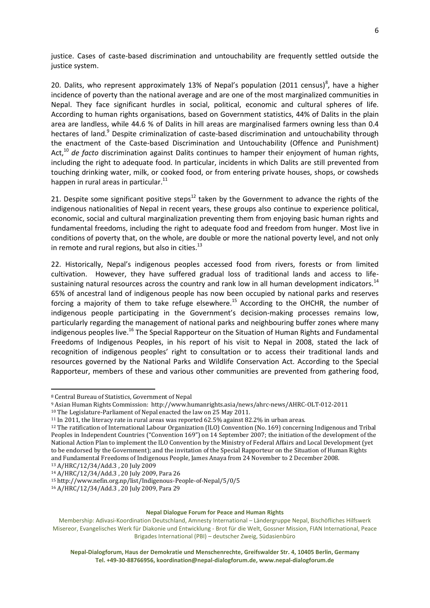justice. Cases of caste-based discrimination and untouchability are frequently settled outside the justice system.

20. Dalits, who represent approximately 13% of Nepal's population (2011 census)<sup>8</sup>, have a higher incidence of poverty than the national average and are one of the most marginalized communities in Nepal. They face significant hurdles in social, political, economic and cultural spheres of life. According to human rights organisations, based on Government statistics, 44% of Dalits in the plain area are landless, while 44.6 % of Dalits in hill areas are marginalised farmers owning less than 0.4 hectares of land.<sup>9</sup> Despite criminalization of caste-based discrimination and untouchability through the enactment of the Caste-based Discrimination and Untouchability (Offence and Punishment) Act,<sup>10</sup> *de facto* discrimination against Dalits continues to hamper their enjoyment of human rights, including the right to adequate food. In particular, incidents in which Dalits are still prevented from touching drinking water, milk, or cooked food, or from entering private houses, shops, or cowsheds happen in rural areas in particular.<sup>11</sup>

21. Despite some significant positive steps $^{12}$  taken by the Government to advance the rights of the indigenous nationalities of Nepal in recent years, these groups also continue to experience political, economic, social and cultural marginalization preventing them from enjoying basic human rights and fundamental freedoms, including the right to adequate food and freedom from hunger. Most live in conditions of poverty that, on the whole, are double or more the national poverty level, and not only in remote and rural regions, but also in cities. $^{13}$ 

22. Historically, Nepal's indigenous peoples accessed food from rivers, forests or from limited cultivation. However, they have suffered gradual loss of traditional lands and access to lifesustaining natural resources across the country and rank low in all human development indicators.<sup>14</sup> 65% of ancestral land of indigenous people has now been occupied by national parks and reserves forcing a majority of them to take refuge elsewhere.<sup>15</sup> According to the OHCHR, the number of indigenous people participating in the Government's decision-making processes remains low, particularly regarding the management of national parks and neighbouring buffer zones where many indigenous peoples live.<sup>16</sup> The Special Rapporteur on the Situation of Human Rights and Fundamental Freedoms of Indigenous Peoples, in his report of his visit to Nepal in 2008, stated the lack of recognition of indigenous peoples' right to consultation or to access their traditional lands and resources governed by the National Parks and Wildlife Conservation Act. According to the Special Rapporteur, members of these and various other communities are prevented from gathering food,

 $\overline{\phantom{a}}$ 

<sup>14</sup> A/HRC/12/34/Add.3 , 20 July 2009, Para 26

#### **Nepal Dialogue Forum for Peace and Human Rights**

<sup>8</sup> Central Bureau of Statistics, Government of Nepal

<sup>9</sup> Asian Human Rights Commission:<http://www.humanrights.asia/news/ahrc-news/AHRC-OLT-012-2011>

<sup>10</sup> The Legislature-Parliament of Nepal enacted the law on 25 May 2011.

<sup>11</sup> In 2011, the literacy rate in rural areas was reported 62.5% against 82.2% in urban areas.

<sup>12</sup> The ratification of International Labour Organization (ILO) Convention (No. 169) concerning Indigenous and Tribal Peoples in Independent Countries ("Convention 169") on 14 September 2007; the initiation of the development of the National Action Plan to implement the ILO Convention by the Ministry of Federal Affairs and Local Development (yet to be endorsed by the Government); and the invitation of the Special Rapporteur on the Situation of Human Rights and Fundamental Freedoms of Indigenous People, James Anaya from 24 November to 2 December 2008. <sup>13</sup> A/HRC/12/34/Add.3 , 20 July 2009

<sup>15</sup> <http://www.nefin.org.np/list/Indigenous-People-of-Nepal/5/0/5>

<sup>16</sup> A/HRC/12/34/Add.3 , 20 July 2009, Para 29

Membership: Adivasi-Koordination Deutschland, Amnesty International – Ländergruppe Nepal, Bischöfliches Hilfswerk Misereor, Evangelisches Werk für Diakonie und Entwicklung - Brot für die Welt, Gossner Mission, FIAN International, Peace Brigades International (PBI) – deutscher Zweig, Südasienbüro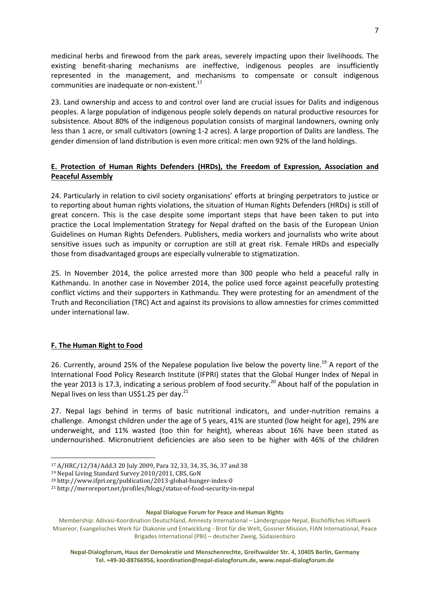medicinal herbs and firewood from the park areas, severely impacting upon their livelihoods. The existing benefit-sharing mechanisms are ineffective, indigenous peoples are insufficiently represented in the management, and mechanisms to compensate or consult indigenous communities are inadequate or non-existent.<sup>17</sup>

23. Land ownership and access to and control over land are crucial issues for Dalits and indigenous peoples. A large population of indigenous people solely depends on natural productive resources for subsistence. About 80% of the indigenous population consists of marginal landowners, owning only less than 1 acre, or small cultivators (owning 1-2 acres). A large proportion of Dalits are landless. The gender dimension of land distribution is even more critical: men own 92% of the land holdings.

# **E. Protection of Human Rights Defenders (HRDs), the Freedom of Expression, Association and Peaceful Assembly**

24. Particularly in relation to civil society organisations' efforts at bringing perpetrators to justice or to reporting about human rights violations, the situation of Human Rights Defenders (HRDs) is still of great concern. This is the case despite some important steps that have been taken to put into practice the Local Implementation Strategy for Nepal drafted on the basis of the European Union Guidelines on Human Rights Defenders. Publishers, media workers and journalists who write about sensitive issues such as impunity or corruption are still at great risk. Female HRDs and especially those from disadvantaged groups are especially vulnerable to stigmatization.

25. In November 2014, the police arrested more than 300 people who held a peaceful rally in Kathmandu. In another case in November 2014, the police used force against peacefully protesting conflict victims and their supporters in Kathmandu. They were protesting for an amendment of the Truth and Reconciliation (TRC) Act and against its provisions to allow amnesties for crimes committed under international law.

# **F. The Human Right to Food**

26. Currently, around 25% of the Nepalese population live below the poverty line.<sup>19</sup> A report of the International Food Policy Research Institute (IFPRI) states that the Global Hunger Index of Nepal in the year 2013 is 17.3, indicating a serious problem of food security.<sup>20</sup> About half of the population in Nepal lives on less than US\$1.25 per day.<sup>21</sup>

27. Nepal lags behind in terms of basic nutritional indicators, and under-nutrition remains a challenge. Amongst children under the age of 5 years, 41% are stunted (low height for age), 29% are underweight, and 11% wasted (too thin for height), whereas about 16% have been stated as undernourished. Micronutrient deficiencies are also seen to be higher with 46% of the children

**<sup>.</sup>** <sup>17</sup> A/HRC/12/34/Add.3 20 July 2009, Para 32, 33, 34, 35, 36, 37 and 38

<sup>19</sup> Nepal Living Standard Survey 2010/2011, CBS, GoN

<sup>20</sup> <http://www.ifpri.org/publication/2013-global-hunger-index-0>

<sup>21</sup> <http://meroreport.net/profiles/blogs/status-of-food-security-in-nepal>

Membership: Adivasi-Koordination Deutschland, Amnesty International – Ländergruppe Nepal, Bischöfliches Hilfswerk Misereor, Evangelisches Werk für Diakonie und Entwicklung - Brot für die Welt, Gossner Mission, FIAN International, Peace Brigades International (PBI) – deutscher Zweig, Südasienbüro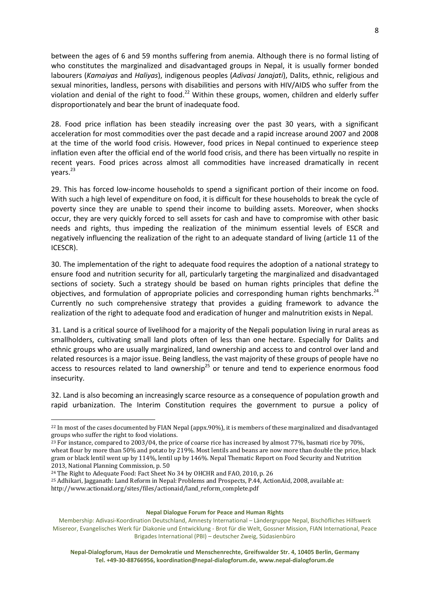between the ages of 6 and 59 months suffering from anemia. Although there is no formal listing of who constitutes the marginalized and disadvantaged groups in Nepal, it is usually former bonded labourers (*Kamaiyas* and *Haliyas*), indigenous peoples (*Adivasi Janajati*), Dalits, ethnic, religious and sexual minorities, landless, persons with disabilities and persons with HIV/AIDS who suffer from the violation and denial of the right to food.<sup>22</sup> Within these groups, women, children and elderly suffer disproportionately and bear the brunt of inadequate food.

28. Food price inflation has been steadily increasing over the past 30 years, with a significant acceleration for most commodities over the past decade and a rapid increase around 2007 and 2008 at the time of the world food crisis. However, food prices in Nepal continued to experience steep inflation even after the official end of the world food crisis, and there has been virtually no respite in recent years. Food prices across almost all commodities have increased dramatically in recent years.<sup>23</sup>

29. This has forced low-income households to spend a significant portion of their income on food. With such a high level of expenditure on food, it is difficult for these households to break the cycle of poverty since they are unable to spend their income to building assets. Moreover, when shocks occur, they are very quickly forced to sell assets for cash and have to compromise with other basic needs and rights, thus impeding the realization of the minimum essential levels of ESCR and negatively influencing the realization of the right to an adequate standard of living (article 11 of the ICESCR).

30. The implementation of the right to adequate food requires the adoption of a national strategy to ensure food and nutrition security for all, particularly targeting the marginalized and disadvantaged sections of society. Such a strategy should be based on human rights principles that define the objectives, and formulation of appropriate policies and corresponding human rights benchmarks.<sup>24</sup> Currently no such comprehensive strategy that provides a guiding framework to advance the realization of the right to adequate food and eradication of hunger and malnutrition exists in Nepal.

31. Land is a critical source of livelihood for a majority of the Nepali population living in rural areas as smallholders, cultivating small land plots often of less than one hectare. Especially for Dalits and ethnic groups who are usually marginalized, land ownership and access to and control over land and related resources is a major issue. Being landless, the vast majority of these groups of people have no access to resources related to land ownership<sup>25</sup> or tenure and tend to experience enormous food insecurity.

32. Land is also becoming an increasingly scarce resource as a consequence of population growth and rapid urbanization. The Interim Constitution requires the government to pursue a policy of

1

<sup>22</sup> In most of the cases documented by FIAN Nepal (appx.90%), it is members of these marginalized and disadvantaged groups who suffer the right to food violations.

<sup>&</sup>lt;sup>23</sup> For instance, compared to 2003/04, the price of coarse rice has increased by almost 77%, basmati rice by 70%, wheat flour by more than 50% and potato by 219%. Most lentils and beans are now more than double the price, black gram or black lentil went up by 114%, lentil up by 146%. Nepal Thematic Report on Food Security and Nutrition 2013, National Planning Commission, p. 50

<sup>24</sup> The Right to Adequate Food: Fact Sheet No 34 by OHCHR and FAO, 2010, p. 26

<sup>25</sup> Adhikari, Jagganath: Land Reform in Nepal: Problems and Prospects, P.44, ActionAid, 2008, available at: http://www.actionaid.org/sites/files/actionaid/land\_reform\_complete.pdf

Membership: Adivasi-Koordination Deutschland, Amnesty International – Ländergruppe Nepal, Bischöfliches Hilfswerk Misereor, Evangelisches Werk für Diakonie und Entwicklung - Brot für die Welt, Gossner Mission, FIAN International, Peace Brigades International (PBI) – deutscher Zweig, Südasienbüro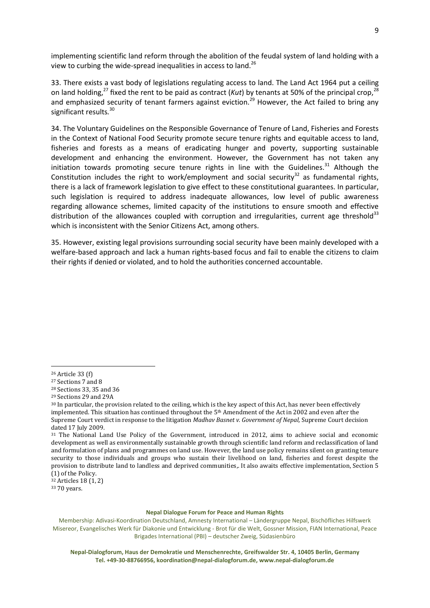implementing scientific land reform through the abolition of the feudal system of land holding with a view to curbing the wide-spread inequalities in access to land.<sup>26</sup>

33. There exists a vast body of legislations regulating access to land. The Land Act 1964 put a ceiling on land holding,<sup>27</sup> fixed the rent to be paid as contract (*Kut*) by tenants at 50% of the principal crop,<sup>28</sup> and emphasized security of tenant farmers against eviction.<sup>29</sup> However, the Act failed to bring any significant results*.* 30

34. The Voluntary Guidelines on the Responsible Governance of Tenure of Land, Fisheries and Forests in the Context of National Food Security promote secure tenure rights and equitable access to land, fisheries and forests as a means of eradicating hunger and poverty, supporting sustainable development and enhancing the environment. However, the Government has not taken any initiation towards promoting secure tenure rights in line with the Guidelines.<sup>31</sup> Although the Constitution includes the right to work/employment and social security<sup>32</sup> as fundamental rights, there is a lack of framework legislation to give effect to these constitutional guarantees. In particular, such legislation is required to address inadequate allowances, low level of public awareness regarding allowance schemes, limited capacity of the institutions to ensure smooth and effective distribution of the allowances coupled with corruption and irregularities, current age threshold<sup>33</sup> which is inconsistent with the Senior Citizens Act, among others.

35. However, existing legal provisions surrounding social security have been mainly developed with a welfare-based approach and lack a human rights-based focus and fail to enable the citizens to claim their rights if denied or violated, and to hold the authorities concerned accountable.

1

<sup>32</sup> Articles 18 (1, 2)

<sup>33</sup> 70 years.

<sup>26</sup> Article 33 (f)

<sup>27</sup> Sections 7 and 8

<sup>28</sup> Sections 33, 35 and 36

<sup>29</sup> Sections 29 and 29A

<sup>&</sup>lt;sup>30</sup> In particular, the provision related to the ceiling, which is the key aspect of this Act, has never been effectively implemented. This situation has continued throughout the 5<sup>th</sup> Amendment of the Act in 2002 and even after the Supreme Court verdict in response to the litigation *Madhav Basnet v. Government of Nepal,* Supreme Court decision dated 17 July 2009.

<sup>&</sup>lt;sup>31</sup> The National Land Use Policy of the Government, introduced in 2012, aims to achieve social and economic development as well as environmentally sustainable growth through scientific land reform and reclassification of land and formulation of plans and programmes on land use. However, the land use policy remains silent on granting tenure security to those individuals and groups who sustain their livelihood on land, fisheries and forest despite the provision to distribute land to landless and deprived communities,. It also awaits effective implementation, Section 5 (1) of the Policy.

Membership: Adivasi-Koordination Deutschland, Amnesty International – Ländergruppe Nepal, Bischöfliches Hilfswerk Misereor, Evangelisches Werk für Diakonie und Entwicklung - Brot für die Welt, Gossner Mission, FIAN International, Peace Brigades International (PBI) – deutscher Zweig, Südasienbüro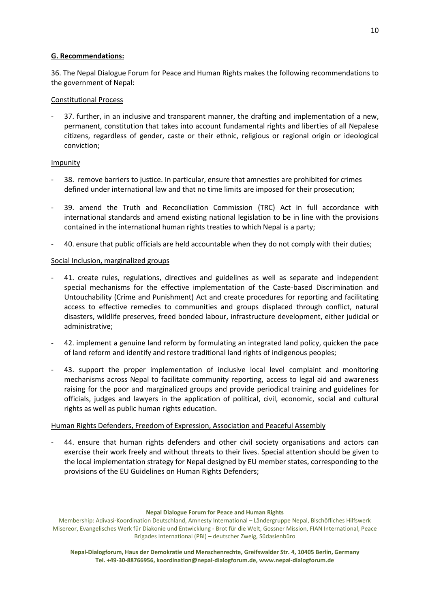# **G. Recommendations:**

36. The Nepal Dialogue Forum for Peace and Human Rights makes the following recommendations to the government of Nepal:

# Constitutional Process

37. further, in an inclusive and transparent manner, the drafting and implementation of a new, permanent, constitution that takes into account fundamental rights and liberties of all Nepalese citizens, regardless of gender, caste or their ethnic, religious or regional origin or ideological conviction;

# Impunity

- 38. remove barriers to justice. In particular, ensure that amnesties are prohibited for crimes defined under international law and that no time limits are imposed for their prosecution;
- 39. amend the Truth and Reconciliation Commission (TRC) Act in full accordance with international standards and amend existing national legislation to be in line with the provisions contained in the international human rights treaties to which Nepal is a party;
- 40. ensure that public officials are held accountable when they do not comply with their duties;

# Social Inclusion, marginalized groups

- 41. create rules, regulations, directives and guidelines as well as separate and independent special mechanisms for the effective implementation of the Caste-based Discrimination and Untouchability (Crime and Punishment) Act and create procedures for reporting and facilitating access to effective remedies to communities and groups displaced through conflict, natural disasters, wildlife preserves, freed bonded labour, infrastructure development, either judicial or administrative;
- 42. implement a genuine land reform by formulating an integrated land policy, quicken the pace of land reform and identify and restore traditional land rights of indigenous peoples;
- 43. support the proper implementation of inclusive local level complaint and monitoring mechanisms across Nepal to facilitate community reporting, access to legal aid and awareness raising for the poor and marginalized groups and provide periodical training and guidelines for officials, judges and lawyers in the application of political, civil, economic, social and cultural rights as well as public human rights education.

# Human Rights Defenders, Freedom of Expression, Association and Peaceful Assembly

44. ensure that human rights defenders and other civil society organisations and actors can exercise their work freely and without threats to their lives. Special attention should be given to the local implementation strategy for Nepal designed by EU member states, corresponding to the provisions of the EU Guidelines on Human Rights Defenders;

### **Nepal Dialogue Forum for Peace and Human Rights**

Membership: Adivasi-Koordination Deutschland, Amnesty International – Ländergruppe Nepal, Bischöfliches Hilfswerk Misereor, Evangelisches Werk für Diakonie und Entwicklung - Brot für die Welt, Gossner Mission, FIAN International, Peace Brigades International (PBI) – deutscher Zweig, Südasienbüro